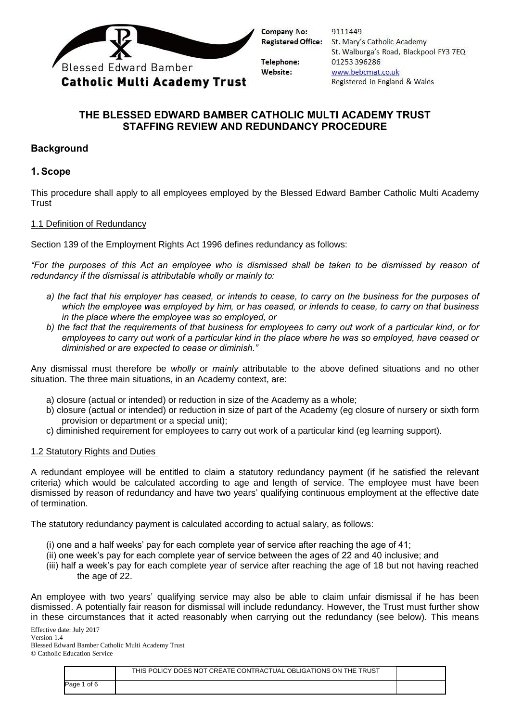

| 9111449                                |  |
|----------------------------------------|--|
| St. Mary's Catholic Academy            |  |
| St. Walburga's Road, Blackpool FY3 7EQ |  |
| 01253396286                            |  |
| www.bebcmat.co.uk                      |  |
| Registered in England & Wales          |  |

# **THE BLESSED EDWARD BAMBER CATHOLIC MULTI ACADEMY TRUST STAFFING REVIEW AND REDUNDANCY PROCEDURE**

## **Background**

## **1. Scope**

This procedure shall apply to all employees employed by the Blessed Edward Bamber Catholic Multi Academy **Trust** 

### 1.1 Definition of Redundancy

Section 139 of the Employment Rights Act 1996 defines redundancy as follows:

*"For the purposes of this Act an employee who is dismissed shall be taken to be dismissed by reason of redundancy if the dismissal is attributable wholly or mainly to:* 

- *a) the fact that his employer has ceased, or intends to cease, to carry on the business for the purposes of which the employee was employed by him, or has ceased, or intends to cease, to carry on that business in the place where the employee was so employed, or*
- *b) the fact that the requirements of that business for employees to carry out work of a particular kind, or for employees to carry out work of a particular kind in the place where he was so employed, have ceased or diminished or are expected to cease or diminish."*

Any dismissal must therefore be *wholly* or *mainly* attributable to the above defined situations and no other situation. The three main situations, in an Academy context, are:

- a) closure (actual or intended) or reduction in size of the Academy as a whole;
- b) closure (actual or intended) or reduction in size of part of the Academy (eg closure of nursery or sixth form provision or department or a special unit);
- c) diminished requirement for employees to carry out work of a particular kind (eg learning support).

#### 1.2 Statutory Rights and Duties

A redundant employee will be entitled to claim a statutory redundancy payment (if he satisfied the relevant criteria) which would be calculated according to age and length of service. The employee must have been dismissed by reason of redundancy and have two years' qualifying continuous employment at the effective date of termination.

The statutory redundancy payment is calculated according to actual salary, as follows:

- (i) one and a half weeks' pay for each complete year of service after reaching the age of 41;
- (ii) one week's pay for each complete year of service between the ages of 22 and 40 inclusive; and
- (iii) half a week's pay for each complete year of service after reaching the age of 18 but not having reached the age of 22.

An employee with two years' qualifying service may also be able to claim unfair dismissal if he has been dismissed. A potentially fair reason for dismissal will include redundancy. However, the Trust must further show in these circumstances that it acted reasonably when carrying out the redundancy (see below). This means

Effective date: July 2017

Version 1.4

Blessed Edward Bamber Catholic Multi Academy Trust © Catholic Education Service

|              | THIS POLICY DOES NOT CREATE CONTRACTUAL OBLIGATIONS ON THE TRUST |  |
|--------------|------------------------------------------------------------------|--|
| of 6<br>Page |                                                                  |  |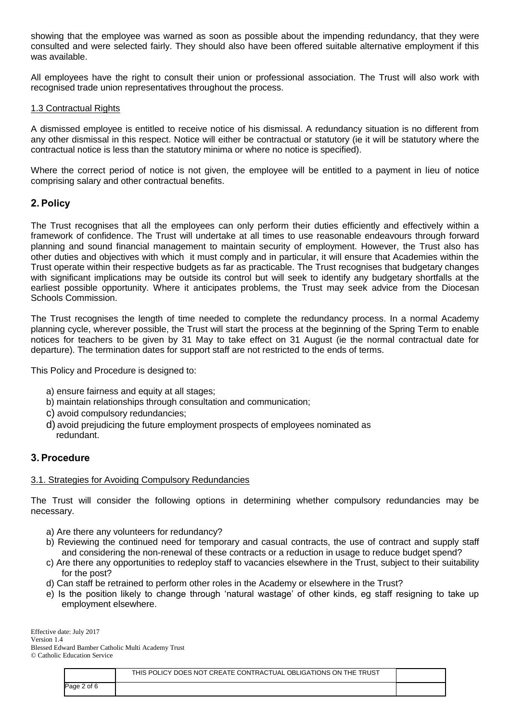showing that the employee was warned as soon as possible about the impending redundancy, that they were consulted and were selected fairly. They should also have been offered suitable alternative employment if this was available.

All employees have the right to consult their union or professional association. The Trust will also work with recognised trade union representatives throughout the process.

#### 1.3 Contractual Rights

A dismissed employee is entitled to receive notice of his dismissal. A redundancy situation is no different from any other dismissal in this respect. Notice will either be contractual or statutory (ie it will be statutory where the contractual notice is less than the statutory minima or where no notice is specified).

Where the correct period of notice is not given, the employee will be entitled to a payment in lieu of notice comprising salary and other contractual benefits.

### **2. Policy**

The Trust recognises that all the employees can only perform their duties efficiently and effectively within a framework of confidence. The Trust will undertake at all times to use reasonable endeavours through forward planning and sound financial management to maintain security of employment. However, the Trust also has other duties and objectives with which it must comply and in particular, it will ensure that Academies within the Trust operate within their respective budgets as far as practicable. The Trust recognises that budgetary changes with significant implications may be outside its control but will seek to identify any budgetary shortfalls at the earliest possible opportunity. Where it anticipates problems, the Trust may seek advice from the Diocesan Schools Commission.

The Trust recognises the length of time needed to complete the redundancy process. In a normal Academy planning cycle, wherever possible, the Trust will start the process at the beginning of the Spring Term to enable notices for teachers to be given by 31 May to take effect on 31 August (ie the normal contractual date for departure). The termination dates for support staff are not restricted to the ends of terms.

This Policy and Procedure is designed to:

- a) ensure fairness and equity at all stages;
- b) maintain relationships through consultation and communication;
- c) avoid compulsory redundancies;
- d) avoid prejudicing the future employment prospects of employees nominated as redundant.

#### **3. Procedure**

#### 3.1. Strategies for Avoiding Compulsory Redundancies

The Trust will consider the following options in determining whether compulsory redundancies may be necessary.

- a) Are there any volunteers for redundancy?
- b) Reviewing the continued need for temporary and casual contracts, the use of contract and supply staff and considering the non-renewal of these contracts or a reduction in usage to reduce budget spend?
- c) Are there any opportunities to redeploy staff to vacancies elsewhere in the Trust, subject to their suitability for the post?
- d) Can staff be retrained to perform other roles in the Academy or elsewhere in the Trust?
- e) Is the position likely to change through 'natural wastage' of other kinds, eg staff resigning to take up employment elsewhere.

|             | THIS POLICY DOES NOT CREATE CONTRACTUAL OBLIGATIONS ON THE TRUST |  |
|-------------|------------------------------------------------------------------|--|
| Page 2 of 6 |                                                                  |  |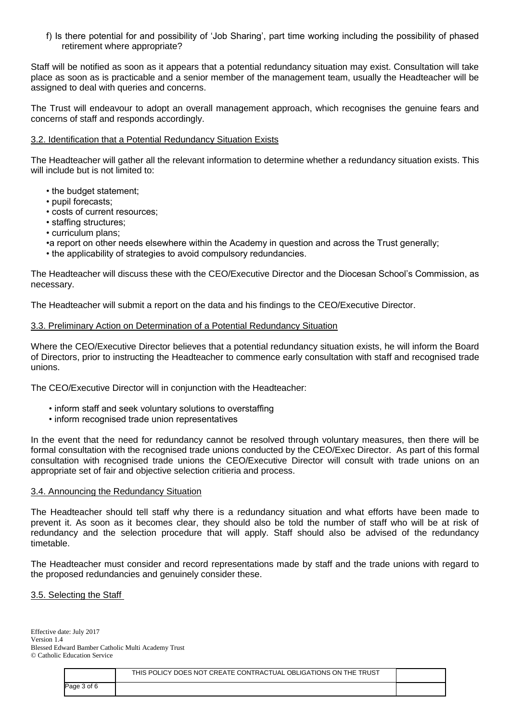f) Is there potential for and possibility of 'Job Sharing', part time working including the possibility of phased retirement where appropriate?

Staff will be notified as soon as it appears that a potential redundancy situation may exist. Consultation will take place as soon as is practicable and a senior member of the management team, usually the Headteacher will be assigned to deal with queries and concerns.

The Trust will endeavour to adopt an overall management approach, which recognises the genuine fears and concerns of staff and responds accordingly.

#### 3.2. Identification that a Potential Redundancy Situation Exists

The Headteacher will gather all the relevant information to determine whether a redundancy situation exists. This will include but is not limited to:

- the budget statement;
- pupil forecasts;
- costs of current resources;
- staffing structures;
- curriculum plans;
- •a report on other needs elsewhere within the Academy in question and across the Trust generally;
- the applicability of strategies to avoid compulsory redundancies.

The Headteacher will discuss these with the CEO/Executive Director and the Diocesan School's Commission, as necessary.

The Headteacher will submit a report on the data and his findings to the CEO/Executive Director.

#### 3.3. Preliminary Action on Determination of a Potential Redundancy Situation

Where the CEO/Executive Director believes that a potential redundancy situation exists, he will inform the Board of Directors, prior to instructing the Headteacher to commence early consultation with staff and recognised trade unions.

The CEO/Executive Director will in conjunction with the Headteacher:

- inform staff and seek voluntary solutions to overstaffing
- inform recognised trade union representatives

In the event that the need for redundancy cannot be resolved through voluntary measures, then there will be formal consultation with the recognised trade unions conducted by the CEO/Exec Director. As part of this formal consultation with recognised trade unions the CEO/Executive Director will consult with trade unions on an appropriate set of fair and objective selection critieria and process.

#### 3.4. Announcing the Redundancy Situation

The Headteacher should tell staff why there is a redundancy situation and what efforts have been made to prevent it. As soon as it becomes clear, they should also be told the number of staff who will be at risk of redundancy and the selection procedure that will apply. Staff should also be advised of the redundancy timetable.

The Headteacher must consider and record representations made by staff and the trade unions with regard to the proposed redundancies and genuinely consider these.

#### 3.5. Selecting the Staff

|             | THIS POLICY DOES NOT CREATE CONTRACTUAL OBLIGATIONS ON THE TRUST |  |
|-------------|------------------------------------------------------------------|--|
| Page 3 of 6 |                                                                  |  |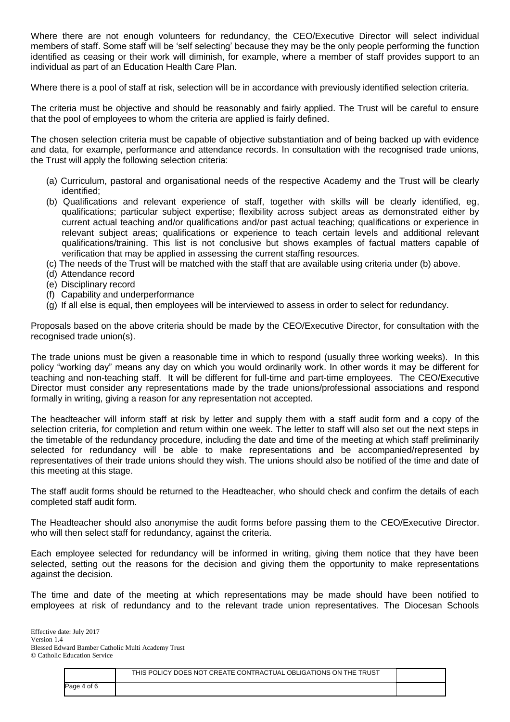Where there are not enough volunteers for redundancy, the CEO/Executive Director will select individual members of staff. Some staff will be 'self selecting' because they may be the only people performing the function identified as ceasing or their work will diminish, for example, where a member of staff provides support to an individual as part of an Education Health Care Plan.

Where there is a pool of staff at risk, selection will be in accordance with previously identified selection criteria.

The criteria must be objective and should be reasonably and fairly applied. The Trust will be careful to ensure that the pool of employees to whom the criteria are applied is fairly defined.

The chosen selection criteria must be capable of objective substantiation and of being backed up with evidence and data, for example, performance and attendance records. In consultation with the recognised trade unions, the Trust will apply the following selection criteria:

- (a) Curriculum, pastoral and organisational needs of the respective Academy and the Trust will be clearly identified;
- (b) Qualifications and relevant experience of staff, together with skills will be clearly identified, eg, qualifications; particular subject expertise; flexibility across subject areas as demonstrated either by current actual teaching and/or qualifications and/or past actual teaching; qualifications or experience in relevant subject areas; qualifications or experience to teach certain levels and additional relevant qualifications/training. This list is not conclusive but shows examples of factual matters capable of verification that may be applied in assessing the current staffing resources.
- (c) The needs of the Trust will be matched with the staff that are available using criteria under (b) above.
- (d) Attendance record
- (e) Disciplinary record
- (f) Capability and underperformance
- (g) If all else is equal, then employees will be interviewed to assess in order to select for redundancy.

Proposals based on the above criteria should be made by the CEO/Executive Director, for consultation with the recognised trade union(s).

The trade unions must be given a reasonable time in which to respond (usually three working weeks). In this policy "working day" means any day on which you would ordinarily work. In other words it may be different for teaching and non-teaching staff. It will be different for full-time and part-time employees. The CEO/Executive Director must consider any representations made by the trade unions/professional associations and respond formally in writing, giving a reason for any representation not accepted.

The headteacher will inform staff at risk by letter and supply them with a staff audit form and a copy of the selection criteria, for completion and return within one week. The letter to staff will also set out the next steps in the timetable of the redundancy procedure, including the date and time of the meeting at which staff preliminarily selected for redundancy will be able to make representations and be accompanied/represented by representatives of their trade unions should they wish. The unions should also be notified of the time and date of this meeting at this stage.

The staff audit forms should be returned to the Headteacher, who should check and confirm the details of each completed staff audit form.

The Headteacher should also anonymise the audit forms before passing them to the CEO/Executive Director. who will then select staff for redundancy, against the criteria.

Each employee selected for redundancy will be informed in writing, giving them notice that they have been selected, setting out the reasons for the decision and giving them the opportunity to make representations against the decision.

The time and date of the meeting at which representations may be made should have been notified to employees at risk of redundancy and to the relevant trade union representatives. The Diocesan Schools

|             | THIS POLICY DOES NOT CREATE CONTRACTUAL OBLIGATIONS ON THE TRUST |  |
|-------------|------------------------------------------------------------------|--|
| Page 4 of 6 |                                                                  |  |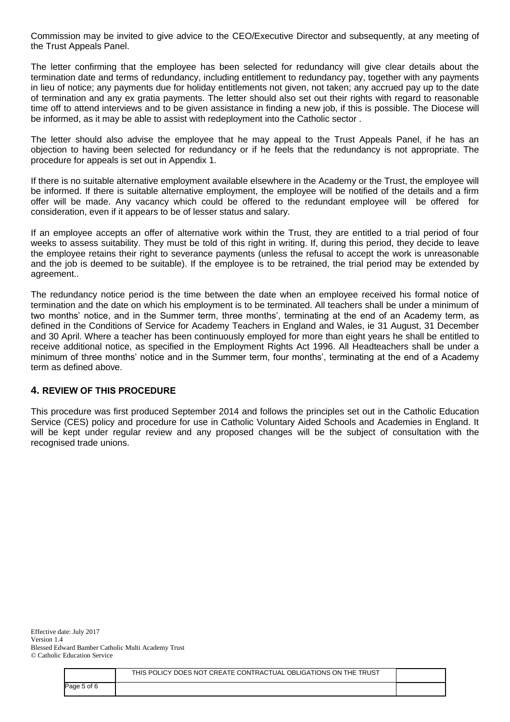Commission may be invited to give advice to the CEO/Executive Director and subsequently, at any meeting of the Trust Appeals Panel.

The letter confirming that the employee has been selected for redundancy will give clear details about the termination date and terms of redundancy, including entitlement to redundancy pay, together with any payments in lieu of notice; any payments due for holiday entitlements not given, not taken; any accrued pay up to the date of termination and any ex gratia payments. The letter should also set out their rights with regard to reasonable time off to attend interviews and to be given assistance in finding a new job, if this is possible. The Diocese will be informed, as it may be able to assist with redeployment into the Catholic sector .

The letter should also advise the employee that he may appeal to the Trust Appeals Panel, if he has an objection to having been selected for redundancy or if he feels that the redundancy is not appropriate. The procedure for appeals is set out in Appendix 1.

If there is no suitable alternative employment available elsewhere in the Academy or the Trust, the employee will be informed. If there is suitable alternative employment, the employee will be notified of the details and a firm offer will be made. Any vacancy which could be offered to the redundant employee will be offered for consideration, even if it appears to be of lesser status and salary.

If an employee accepts an offer of alternative work within the Trust, they are entitled to a trial period of four weeks to assess suitability. They must be told of this right in writing. If, during this period, they decide to leave the employee retains their right to severance payments (unless the refusal to accept the work is unreasonable and the job is deemed to be suitable). If the employee is to be retrained, the trial period may be extended by agreement..

The redundancy notice period is the time between the date when an employee received his formal notice of termination and the date on which his employment is to be terminated. All teachers shall be under a minimum of two months' notice, and in the Summer term, three months', terminating at the end of an Academy term, as defined in the Conditions of Service for Academy Teachers in England and Wales, ie 31 August, 31 December and 30 April. Where a teacher has been continuously employed for more than eight years he shall be entitled to receive additional notice, as specified in the Employment Rights Act 1996. All Headteachers shall be under a minimum of three months' notice and in the Summer term, four months', terminating at the end of a Academy term as defined above.

#### **4. REVIEW OF THIS PROCEDURE**

This procedure was first produced September 2014 and follows the principles set out in the Catholic Education Service (CES) policy and procedure for use in Catholic Voluntary Aided Schools and Academies in England. It will be kept under regular review and any proposed changes will be the subject of consultation with the recognised trade unions.

|             | THIS POLICY DOES NOT CREATE CONTRACTUAL OBLIGATIONS ON THE TRUST |  |
|-------------|------------------------------------------------------------------|--|
| Page 5 of 6 |                                                                  |  |